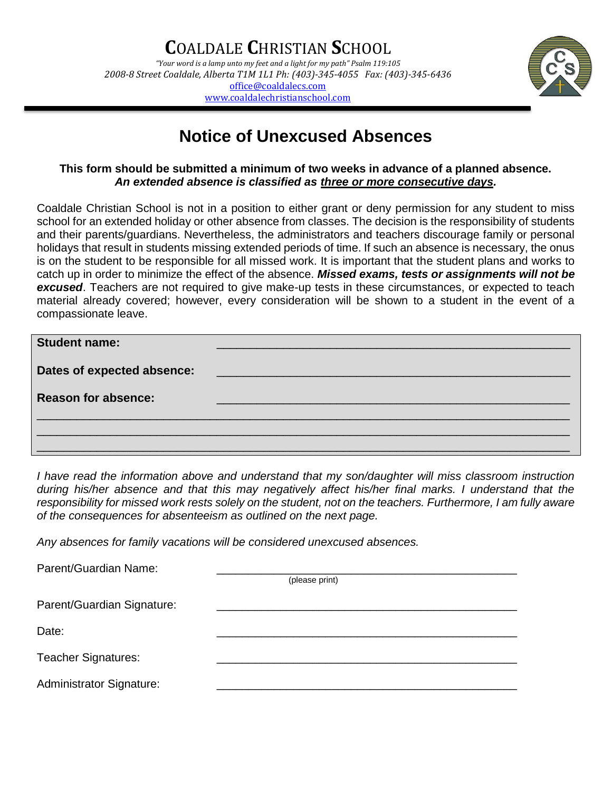

## **Notice of Unexcused Absences**

## **This form should be submitted a minimum of two weeks in advance of a planned absence.**  *An extended absence is classified as three or more consecutive days.*

Coaldale Christian School is not in a position to either grant or deny permission for any student to miss school for an extended holiday or other absence from classes. The decision is the responsibility of students and their parents/guardians. Nevertheless, the administrators and teachers discourage family or personal holidays that result in students missing extended periods of time. If such an absence is necessary, the onus is on the student to be responsible for all missed work. It is important that the student plans and works to catch up in order to minimize the effect of the absence. *Missed exams, tests or assignments will not be excused*. Teachers are not required to give make-up tests in these circumstances, or expected to teach material already covered; however, every consideration will be shown to a student in the event of a compassionate leave.

| <b>Student name:</b>       |                                                                                                                        |
|----------------------------|------------------------------------------------------------------------------------------------------------------------|
| Dates of expected absence: | <u> 1989 - Johann Stein, marwolaethau a bhann an t-Albann an t-Albann an t-Albann an t-Albann an t-Albann an t-Alb</u> |
| <b>Reason for absence:</b> |                                                                                                                        |
|                            |                                                                                                                        |
|                            |                                                                                                                        |

*I have read the information above and understand that my son/daughter will miss classroom instruction during his/her absence and that this may negatively affect his/her final marks. I understand that the responsibility for missed work rests solely on the student, not on the teachers. Furthermore, I am fully aware of the consequences for absenteeism as outlined on the next page.*

*Any absences for family vacations will be considered unexcused absences.*

| Parent/Guardian Name:      |                |
|----------------------------|----------------|
|                            | (please print) |
| Parent/Guardian Signature: |                |
| Date:                      |                |
| <b>Teacher Signatures:</b> |                |
| Administrator Signature:   |                |